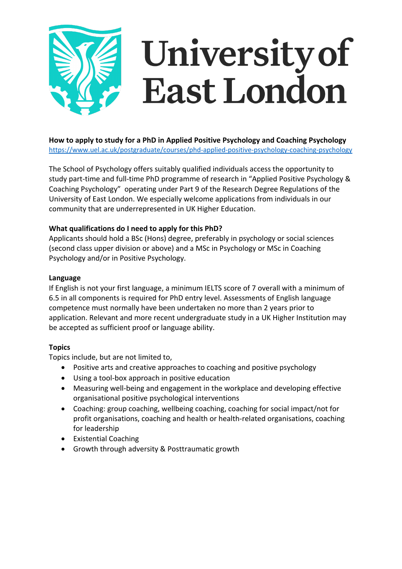# University of East London

**How to apply to study for a PhD in Applied Positive Psychology and Coaching Psychology** https://www.uel.ac.uk/postgraduate/courses/phd-applied-positive-psychology-coaching-psychology

The School of Psychology offers suitably qualified individuals access the opportunity to study part-time and full-time PhD programme of research in "Applied Positive Psychology & Coaching Psychology" operating under Part 9 of the Research Degree Regulations of the University of East London. We especially welcome applications from individuals in our community that are underrepresented in UK Higher Education.

# **What qualifications do I need to apply for this PhD?**

Applicants should hold a BSc (Hons) degree, preferably in psychology or social sciences (second class upper division or above) and a MSc in Psychology or MSc in Coaching Psychology and/or in Positive Psychology.

# **Language**

If English is not your first language, a minimum IELTS score of 7 overall with a minimum of 6.5 in all components is required for PhD entry level. Assessments of English language competence must normally have been undertaken no more than 2 years prior to application. Relevant and more recent undergraduate study in a UK Higher Institution may be accepted as sufficient proof or language ability.

# **Topics**

Topics include, but are not limited to,

- Positive arts and creative approaches to coaching and positive psychology
- Using a tool-box approach in positive education
- Measuring well-being and engagement in the workplace and developing effective organisational positive psychological interventions
- Coaching: group coaching, wellbeing coaching, coaching for social impact/not for profit organisations, coaching and health or health-related organisations, coaching for leadership
- Existential Coaching
- Growth through adversity & Posttraumatic growth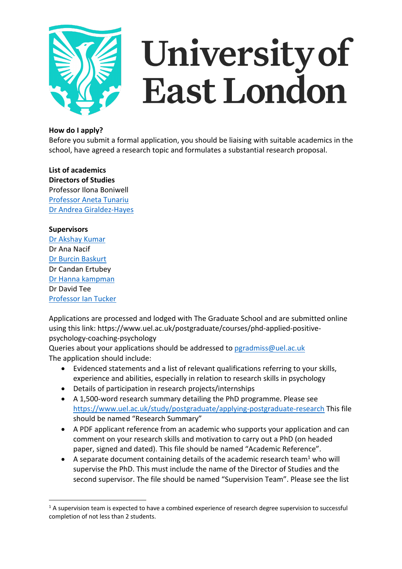

# University of East London

# **How do I apply?**

Before you submit a formal application, you should be liaising with suitable academics in the school, have agreed a research topic and formulates a substantial research proposal.

**List of academics Directors of Studies** Professor Ilona Boniwell Professor Aneta Tunariu Dr Andrea Giraldez-Hayes

# **Supervisors**

Dr Akshay Kumar Dr Ana Nacif Dr Burcin Baskurt Dr Candan Ertubey Dr Hanna kampman Dr David Tee Professor Ian Tucker

Applications are processed and lodged with The Graduate School and are submitted online using this link: https://www.uel.ac.uk/postgraduate/courses/phd-applied-positivepsychology-coaching-psychology

Queries about your applications should be addressed to pgradmiss@uel.ac.uk The application should include:

- Evidenced statements and a list of relevant qualifications referring to your skills, experience and abilities, especially in relation to research skills in psychology
- Details of participation in research projects/internships
- A 1,500-word research summary detailing the PhD programme. Please see https://www.uel.ac.uk/study/postgraduate/applying-postgraduate-research This file should be named "Research Summary"
- A PDF applicant reference from an academic who supports your application and can comment on your research skills and motivation to carry out a PhD (on headed paper, signed and dated). This file should be named "Academic Reference".
- A separate document containing details of the academic research team<sup>1</sup> who will supervise the PhD. This must include the name of the Director of Studies and the second supervisor. The file should be named "Supervision Team". Please see the list

 $1/1$  A supervision team is expected to have a combined experience of research degree supervision to successful completion of not less than 2 students.